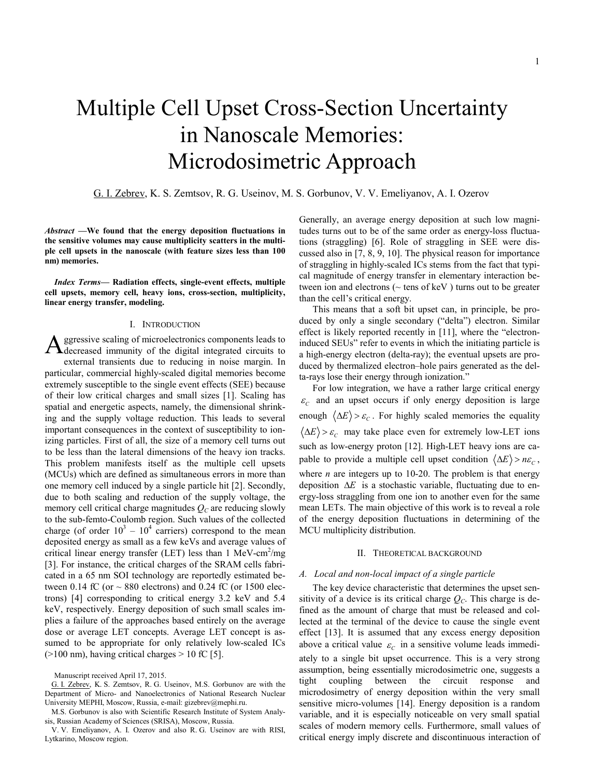# Multiple Cell Upset Cross-Section Uncertainty in Nanoscale Memories: Microdosimetric Approach

# G. I. Zebrev, K. S. Zemtsov, R. G. Useinov, M. S. Gorbunov, V. V. Emeliyanov, A. I. Ozerov

*Abstract* —We found that the energy deposition fluctuations in the sensitive volumes may cause multiplicity scatters in the multiple cell upsets in the nanoscale (with feature sizes less than 100 nm) memories.

*Index Terms*— Radiation effects, single-event effects, multiple cell upsets, memory cell, heavy ions, cross-section, multiplicity, linear energy transfer, modeling.

#### I. INTRODUCTION

ggressive scaling of microelectronics components leads to **A** ggressive scaling of microelectronics components leads to decreased immunity of the digital integrated circuits to external transients due to reducing in noise margin. In particular, commercial highly-scaled digital memories become extremely susceptible to the single event effects (SEE) because of their low critical charges and small sizes [1]. Scaling has spatial and energetic aspects, namely, the dimensional shrinking and the supply voltage reduction. This leads to several important consequences in the context of susceptibility to ionizing particles. First of all, the size of a memory cell turns out to be less than the lateral dimensions of the heavy ion tracks. This problem manifests itself as the multiple cell upsets (MCUs) which are defined as simultaneous errors in more than one memory cell induced by a single particle hit [2]. Secondly, due to both scaling and reduction of the supply voltage, the memory cell critical charge magnitudes  $Q_C$  are reducing slowly to the sub-femto-Coulomb region. Such values of the collected charge (of order  $10^3 - 10^4$  carriers) correspond to the mean deposited energy as small as a few keVs and average values of critical linear energy transfer (LET) less than  $1 \text{ MeV-cm}^2/\text{mg}$ [3]. For instance, the critical charges of the SRAM cells fabricated in a 65 nm SOI technology are reportedly estimated between 0.14 fC (or  $\sim$  880 electrons) and 0.24 fC (or 1500 electrons) [4] corresponding to critical energy 3.2 keV and 5.4 keV, respectively. Energy deposition of such small scales implies a failure of the approaches based entirely on the average dose or average LET concepts. Average LET concept is assumed to be appropriate for only relatively low-scaled ICs  $(>100 \text{ nm})$ , having critical charges  $> 10 \text{ fC}$  [5].

Generally, an average energy deposition at such low magnitudes turns out to be of the same order as energy-loss fluctuations (straggling) [6]. Role of straggling in SEE were discussed also in [7, 8, 9, 10]. The physical reason for importance of straggling in highly-scaled ICs stems from the fact that typical magnitude of energy transfer in elementary interaction between ion and electrons ( $\sim$  tens of keV) turns out to be greater than the cell's critical energy.

This means that a soft bit upset can, in principle, be produced by only a single secondary ("delta") electron. Similar effect is likely reported recently in [11], where the "electroninduced SEUs" refer to events in which the initiating particle is a high-energy electron (delta-ray); the eventual upsets are produced by thermalized electron–hole pairs generated as the delta-rays lose their energy through ionization."

For low integration, we have a rather large critical energy  $\varepsilon_c$  and an upset occurs if only energy deposition is large enough  $\langle \Delta E \rangle > \varepsilon_c$ . For highly scaled memories the equality  $\langle \Delta E \rangle > \varepsilon_c$  may take place even for extremely low-LET ions such as low-energy proton [12]. High-LET heavy ions are capable to provide a multiple cell upset condition  $\langle \Delta E \rangle > n \varepsilon_c$ , where *n* are integers up to 10-20. The problem is that energy deposition  $\Delta E$  is a stochastic variable, fluctuating due to energy-loss straggling from one ion to another even for the same mean LETs. The main objective of this work is to reveal a role of the energy deposition fluctuations in determining of the MCU multiplicity distribution.

#### II. THEORETICAL BACKGROUND

### *A. Local and non-local impact of a single particle*

The key device characteristic that determines the upset sensitivity of a device is its critical charge  $Q_C$ . This charge is defined as the amount of charge that must be released and collected at the terminal of the device to cause the single event effect [13]. It is assumed that any excess energy deposition above a critical value  $\varepsilon_c$  in a sensitive volume leads immediately to a single bit upset occurrence. This is a very strong assumption, being essentially microdosimetric one, suggests a tight coupling between the circuit response and microdosimetry of energy deposition within the very small sensitive micro-volumes [14]. Energy deposition is a random variable, and it is especially noticeable on very small spatial scales of modern memory cells. Furthermore, small values of critical energy imply discrete and discontinuous interaction of

Manuscript received April 17, 2015.

G. I. Zebrev, K. S. Zemtsov, R. G. Useinov, M.S. Gorbunov are with the Department of Micro- and Nanoelectronics of National Research Nuclear University MEPHI, Moscow, Russia, e-mail: gizebrev@mephi.ru.

M.S. Gorbunov is also with Scientific Research [Institute](mailto:gizebrev@mephi.ru) of System Analysis, Russian Academy of Sciences (SRISA), Moscow, Russia.

V. V. Emeliyanov, A. I. Ozerov and also R. G. Useinov are with RISI, Lytkarino, Moscow region.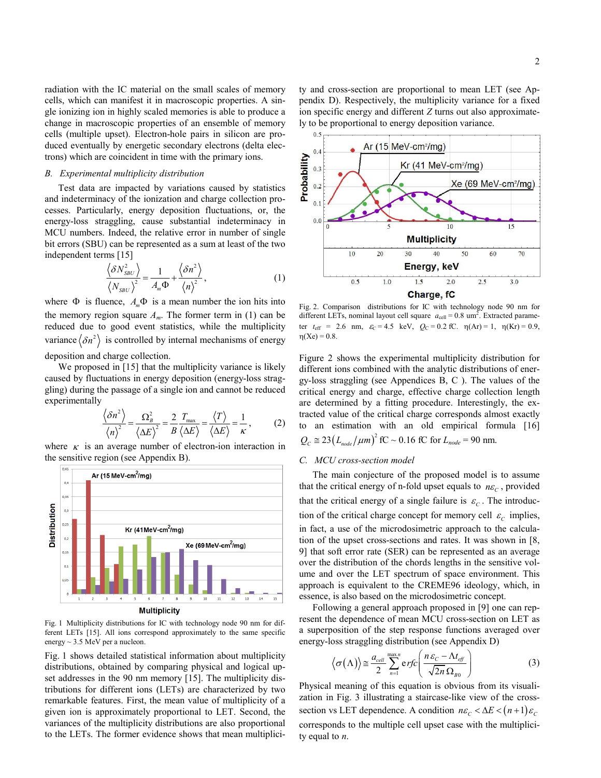radiation with the IC material on the small scales of memory cells, which can manifest it in macroscopic properties. A single ionizing ion in highly scaled memories is able to produce a change in macroscopic properties of an ensemble of memory cells (multiple upset). Electron-hole pairs in silicon are produced eventually by energetic secondary electrons (delta electrons) which are coincident in time with the primary ions.

#### *B. Experimental multiplicity distribution*

Test data are impacted by variations caused by statistics and indeterminacy of the ionization and charge collection processes. Particularly, energy deposition fluctuations, or, the energy-loss straggling, cause substantial indeterminacy in MCU numbers. Indeed, the relative error in number of single bit errors (SBU) can be represented as a sum at least of the two independent terms [15]

$$
\frac{\langle \delta N_{\textit{SBU}}^2 \rangle}{\langle N_{\textit{SBU}} \rangle^2} = \frac{1}{A_m \Phi} + \frac{\langle \delta n^2 \rangle}{\langle n \rangle^2},\tag{1}
$$

where  $\Phi$  is fluence,  $A_m \Phi$  is a mean number the ion hits into the memory region square  $A_m$ . The former term in (1) can be reduced due to good event statistics, while the multiplicity variance  $\langle \delta n^2 \rangle$  is controlled by internal mechanisms of energy deposition and charge collection.

We proposed in [15] that the multiplicity variance is likely caused by fluctuations in energy deposition (energy-loss straggling) during the passage of a single ion and cannot be reduced experimentally

$$
\frac{\langle \delta n^2 \rangle}{\langle n \rangle^2} = \frac{\Omega_B^2}{\langle \Delta E \rangle^2} = \frac{2}{B} \frac{T_{\text{max}}}{\langle \Delta E \rangle} = \frac{\langle T \rangle}{\langle \Delta E \rangle} = \frac{1}{\kappa},\qquad(2)
$$

where  $\kappa$  is an average number of electron-ion interaction in the sensitive region (see Appendix B).



Fig. 1 Multiplicity distributions for IC with technology node 90 nm for different LETs [15]. All ions correspond approximately to the same specific energy ~ 3.5 MeV per a nucleon.

Fig. 1 shows detailed statistical information about multiplicity distributions, obtained by comparing physical and logical upset addresses in the 90 nm memory [15]. The multiplicity distributions for different ions (LETs) are characterized by two remarkable features. First, the mean value of multiplicity of a given ion is approximately proportional to LET. Second, the variances of the multiplicity distributions are also proportional to the LETs. The former evidence shows that mean multiplici2

ty and cross-section are proportional to mean LET (see Appendix D). Respectively, the multiplicity variance for a fixed ion specific energy and different *Z* turns out also approximately to be proportional to energy deposition variance.



Fig. 2. Comparison distributions for IC with technology node 90 nm for different LETs, nominal layout cell square  $a_{cell} = 0.8$  um<sup>2</sup>. Extracted parameter  $t_{\text{eff}}$  = 2.6 nm,  $\varepsilon_c$  = 4.5 keV,  $Q_C$  = 0.2 fC.  $\eta(\text{Ar})$  = 1,  $\eta(\text{Kr})$  = 0.9,  $\eta(Xe) = 0.8$ .

Figure 2 shows the experimental multiplicity distribution for different ions combined with the analytic distributions of energy-loss straggling (see Appendices B, C ). The values of the critical energy and charge, effective charge collection length are determined by a fitting procedure. Interestingly, the extracted value of the critical charge corresponds almost exactly to an estimation with an old empirical formula [16]  $Q_c \approx 23 \left( L_{node} / \mu m \right)^2 fC \sim 0.16 fC$  for  $L_{node} = 90$  nm.

#### *C. MCU cross-section model*

The main conjecture of the proposed model is to assume that the critical energy of n-fold upset equals to  $n\varepsilon_c$ , provided that the critical energy of a single failure is  $\varepsilon_c$ . The introduction of the critical charge concept for memory cell  $\varepsilon_c$  implies, in fact, a use of the microdosimetric approach to the calculation of the upset cross-sections and rates. It was shown in [8, 9] that soft error rate (SER) can be represented as an average over the distribution of the chords lengths in the sensitive volume and over the LET spectrum of space environment. This approach is equivalent to the CREME96 ideology, which, in essence, is also based on the microdosimetric concept.

Following a general approach proposed in [9] one can represent the dependence of mean MCU cross-section on LET as a superposition of the step response functions averaged over energy-loss straggling distribution (see Appendix D)

$$
\left\langle \sigma(\Lambda) \right\rangle \cong \frac{a_{cell}}{2} \sum_{n=1}^{\max n} \text{erfc} \left( \frac{n \varepsilon_c - \Lambda t_{eff}}{\sqrt{2n} \Omega_{B0}} \right)
$$
(3)

Physical meaning of this equation is obvious from its visualization in Fig. 3 illustrating a staircase-like view of the crosssection vs LET dependence. A condition  $n\varepsilon_c < \Delta E < (n+1)\varepsilon_c$ corresponds to the multiple cell upset case with the multiplicity equal to *n*.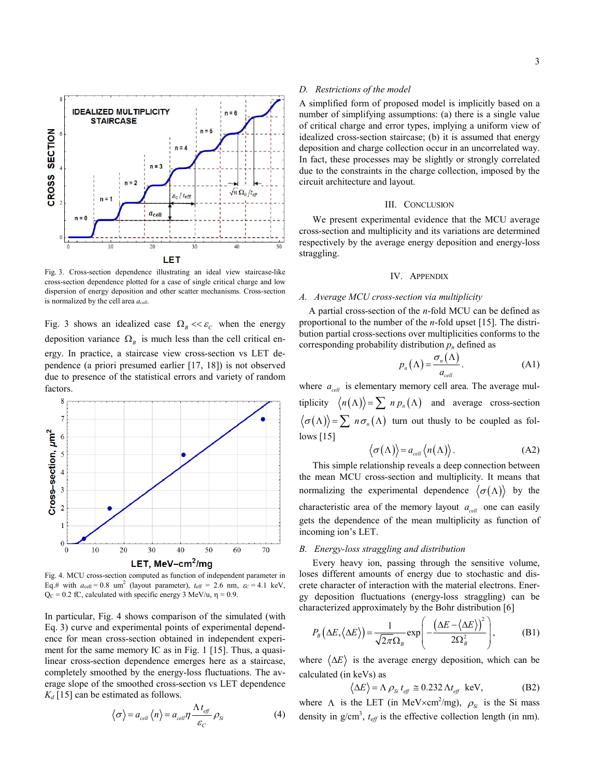

Fig. 3. Cross-section dependence illustrating an ideal view staircase-like cross-section dependence plotted for a case of single critical charge and low dispersion of energy deposition and other scatter mechanisms. Cross-section is normalized by the cell area *acell*.

Fig. 3 shows an idealized case  $\Omega_B \ll \varepsilon_C$  when the energy deposition variance  $\Omega_B$  is much less than the cell critical energy. In practice, a staircase view cross-section vs LET dependence (a priori presumed earlier [17, 18]) is not observed due to presence of the statistical errors and variety of random factors.



Fig. 4. MCU cross-section computed as function of independent parameter in Eq.# with  $a_{cell} = 0.8$  um<sup>2</sup> (layout parameter),  $t_{eff} = 2.6$  nm,  $\varepsilon_c = 4.1$  keV,  $Q_C = 0.2$  fC, calculated with specific energy 3 MeV/u,  $\eta = 0.9$ .

In particular, Fig. 4 shows comparison of the simulated (with Eq. 3) curve and experimental points of experimental dependence for mean cross-section obtained in independent experiment for the same memory IC as in Fig. 1 [15]. Thus, a quasilinear cross-section dependence emerges here as a staircase, completely smoothed by the energy-loss fluctuations. The average slope of the smoothed cross-section vs LET dependence  $K_d$  [15] can be estimated as follows.

$$
\langle \sigma \rangle = a_{cell} \langle n \rangle = a_{cell} \eta \frac{\Lambda t_{eff}}{\varepsilon_C} \rho_{Si}
$$
 (4)

#### *D. Restrictions of the model*

A simplified form of proposed model is implicitly based on a number of simplifying assumptions: (a) there is a single value of critical charge and error types, implying a uniform view of idealized cross-section staircase; (b) it is assumed that energy deposition and charge collection occur in an uncorrelated way. In fact, these processes may be slightly or strongly correlated due to the constraints in the charge collection, imposed by the circuit architecture and layout.

#### III. CONCLUSION

We present experimental evidence that the MCU average cross-section and multiplicity and its variations are determined respectively by the average energy deposition and energy-loss straggling.

#### IV. APPENDIX

#### *A. Average MCU cross-section via multiplicity*

A partial cross-section of the *n*-fold MCU can be defined as proportional to the number of the *n*-fold upset [15]. The distribution partial cross-sections over multiplicities conforms to the corresponding probability distribution  $p_n$  defined as

$$
p_n(\Lambda) = \frac{\sigma_n(\Lambda)}{a_{cell}}.
$$
 (A1)

where  $a_{cell}$  is elementary memory cell area. The average multiplicity  $\langle n(\Lambda) \rangle = \sum n p_n(\Lambda)$  and average cross-section  $\langle \sigma(\Lambda) \rangle = \sum n \sigma_n(\Lambda)$  turn out thusly to be coupled as follows [15]

$$
\langle \sigma(\Lambda) \rangle = a_{cell} \langle n(\Lambda) \rangle. \tag{A2}
$$

This simple relationship reveals a deep connection between the mean MCU cross-section and multiplicity. It means that normalizing the experimental dependence  $\langle \sigma(\Lambda) \rangle$  by the characteristic area of the memory layout  $a_{cell}$  one can easily gets the dependence of the mean multiplicity as function of incoming ion's LET.

#### *B. Energy-loss straggling and distribution*

Every heavy ion, passing through the sensitive volume, loses different amounts of energy due to stochastic and discrete character of interaction with the material electrons. Energy deposition fluctuations (energy-loss straggling) can be characterized approximately by the Bohr distribution [6]

$$
P_B(\Delta E, \langle \Delta E \rangle) = \frac{1}{\sqrt{2\pi}\Omega_B} \exp\left(-\frac{(\Delta E - \langle \Delta E \rangle)^2}{2\Omega_B^2}\right),\tag{B1}
$$

where  $\langle \Delta E \rangle$  is the average energy deposition, which can be calculated (in keVs) as

$$
\langle \Delta E \rangle = \Lambda \, \rho_{\rm Si} \, t_{\rm eff} \, \cong 0.232 \, \Lambda t_{\rm eff} \, \text{ keV}, \tag{B2}
$$

where  $\Lambda$  is the LET (in MeV $\times$ cm<sup>2</sup>/mg),  $\rho_{s_i}$  is the Si mass density in  $g/cm^3$ ,  $t_{eff}$  is the effective collection length (in nm).